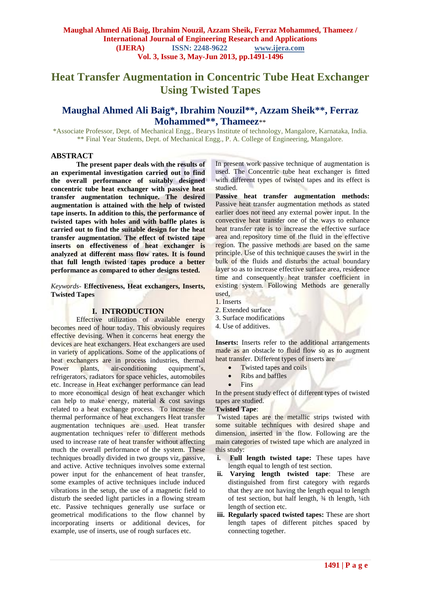# **Heat Transfer Augmentation in Concentric Tube Heat Exchanger Using Twisted Tapes**

## **Maughal Ahmed Ali Baig\*, Ibrahim Nouzil\*\*, Azzam Sheik\*\*, Ferraz Mohammed\*\*, Thameez**\*\*

\*Associate Professor, Dept. of Mechanical Engg., Bearys Institute of technology, Mangalore, Karnataka, India. \*\* Final Year Students, Dept. of Mechanical Engg., P. A. College of Engineering, Mangalore.

#### **ABSTRACT**

**The present paper deals with the results of an experimental investigation carried out to find the overall performance of suitably designed concentric tube heat exchanger with passive heat transfer augmentation technique. The desired augmentation is attained with the help of twisted tape inserts. In addition to this, the performance of twisted tapes with holes and with baffle plates is carried out to find the suitable design for the heat transfer augmentation. The effect of twisted tape inserts on effectiveness of heat exchanger is analyzed at different mass flow rates. It is found that full length twisted tapes produce a better performance as compared to other designs tested.** 

*Keywords-* **Effectiveness, Heat exchangers, Inserts, Twisted Tapes**

#### **I. INTRODUCTION**

Effective utilization of available energy becomes need of hour today. This obviously requires effective devising. When it concerns heat energy the devices are heat exchangers. Heat exchangers are used in variety of applications. Some of the applications of heat exchangers are in process industries, thermal Power plants, air-conditioning equipment's, refrigerators, radiators for space vehicles, automobiles etc. Increase in Heat exchanger performance can lead to more economical design of heat exchanger which can help to make energy, material  $& \text{cost savings}$ related to a heat exchange process. To increase the thermal performance of heat exchangers Heat transfer augmentation techniques are used. Heat transfer augmentation techniques refer to different methods used to increase rate of heat transfer without affecting much the overall performance of the system. These techniques broadly divided in two groups viz. passive, and active. Active techniques involves some external power input for the enhancement of heat transfer, some examples of active techniques include induced vibrations in the setup, the use of a magnetic field to disturb the seeded light particles in a flowing stream etc. Passive techniques generally use surface or geometrical modifications to the flow channel by incorporating inserts or additional devices, for example, use of inserts, use of rough surfaces etc.

In present work passive technique of augmentation is used. The Concentric tube heat exchanger is fitted with different types of twisted tapes and its effect is studied.

**Passive heat transfer augmentation methods:** Passive heat transfer augmentation methods as stated earlier does not need any external power input. In the convective heat transfer one of the ways to enhance heat transfer rate is to increase the effective surface area and repository time of the fluid in the effective region. The passive methods are based on the same principle. Use of this technique causes the swirl in the bulk of the fluids and disturbs the actual boundary layer so as to increase effective surface area, residence time and consequently heat transfer coefficient in existing system. Following Methods are generally used,

- 1. Inserts
- 2. Extended surface
- 3. Surface modifications
- 4. Use of additives.

**Inserts:** Inserts refer to the additional arrangements made as an obstacle to fluid flow so as to augment heat transfer. Different types of inserts are

- Twisted tapes and coils
- Ribs and baffles
- Fins

In the present study effect of different types of twisted tapes are studied.

#### **Twisted Tape**:

Twisted tapes are the metallic strips twisted with some suitable techniques with desired shape and dimension, inserted in the flow. Following are the main categories of twisted tape which are analyzed in this study:

- **i. Full length twisted tape:** These tapes have length equal to length of test section.
- **ii. Varying length twisted tape**: These are distinguished from first category with regards that they are not having the length equal to length of test section, but half length, ¾ th length, ¼th length of section etc.
- **iii. Regularly spaced twisted tapes:** These are short length tapes of different pitches spaced by connecting together.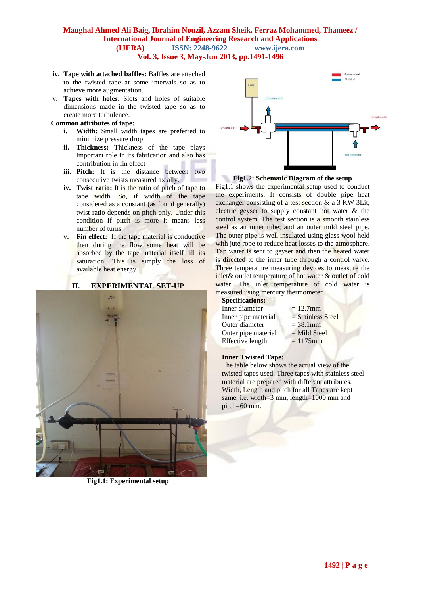- **iv. Tape with attached baffles:** Baffles are attached to the twisted tape at some intervals so as to achieve more augmentation.
- **v. Tapes with holes**: Slots and holes of suitable dimensions made in the twisted tape so as to create more turbulence.

### **Common attributes of tape:**

- **i. Width:** Small width tapes are preferred to minimize pressure drop.
- **ii. Thickness:** Thickness of the tape plays important role in its fabrication and also has contribution in fin effect
- **iii. Pitch:** It is the distance between two consecutive twists measured axially.
- **iv. Twist ratio:** It is the ratio of pitch of tape to tape width. So, if width of the tape considered as a constant (as found generally) twist ratio depends on pitch only. Under this condition if pitch is more it means less number of turns.
- **v. Fin effect:** If the tape material is conductive then during the flow some heat will be absorbed by the tape material itself till its saturation. This is simply the loss of available heat energy.

#### **II. EXPERIMENTAL SET-UP**



**Fig1.1: Experimental setup**



**Fig1.2: Schematic Diagram of the setup**

Fig1.1 shows the experimental setup used to conduct the experiments. It consists of double pipe heat exchanger consisting of a test section & a 3 KW 3Lit, electric geyser to supply constant hot water & the control system. The test section is a smooth stainless steel as an inner tube; and an outer mild steel pipe. The outer pipe is well insulated using glass wool held with jute rope to reduce heat losses to the atmosphere. Tap water is sent to geyser and then the heated water is directed to the inner tube through a control valve. Three temperature measuring devices to measure the inlet& outlet temperature of hot water & outlet of cold water. The inlet temperature of cold water is measured using mercury thermometer.

#### **Specifications:**

| Inner diameter      | $= 12.7$ mm         |
|---------------------|---------------------|
| Inner pipe material | $=$ Stainless Steel |
| Outer diameter      | $= 38.1$ mm         |
| Outer pipe material | $=$ Mild Steel      |
| Effective length    | $= 1175$ mm         |

#### **Inner Twisted Tape:**

The table below shows the actual view of the twisted tapes used. Three tapes with stainless steel material are prepared with different attributes. Width, Length and pitch for all Tapes are kept same, i.e. width=3 mm, length=1000 mm and pitch=60 mm.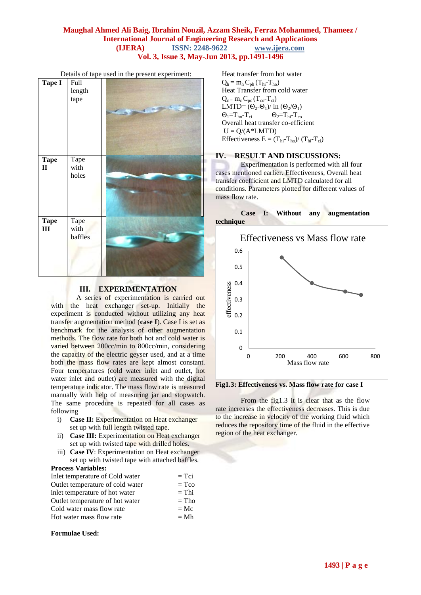| <b>Tape I</b>               | Full<br>length<br>tape  | Details of tape ased in the present experiment. |
|-----------------------------|-------------------------|-------------------------------------------------|
| <b>Tape</b><br>$\mathbf{I}$ | Tape<br>with<br>holes   |                                                 |
| <b>Tape</b><br>III          | Tape<br>with<br>baffles |                                                 |

#### Details of tape used in the present experiment:

## **III. EXPERIMENTATION**

A series of experimentation is carried out with the heat exchanger set-up. Initially the experiment is conducted without utilizing any heat transfer augmentation method (**case I**). Case I is set as benchmark for the analysis of other augmentation methods. The flow rate for both hot and cold water is varied between 200cc/min to 800cc/min, considering the capacity of the electric geyser used, and at a time both the mass flow rates are kept almost constant. Four temperatures (cold water inlet and outlet, hot water inlet and outlet) are measured with the digital temperature indicator. The mass flow rate is measured manually with help of measuring jar and stopwatch. The same procedure is repeated for all cases as following

- i) **Case II:** Experimentation on Heat exchanger set up with full length twisted tape.
- ii) **Case III:** Experimentation on Heat exchanger set up with twisted tape with drilled holes.
- iii) **Case IV**: Experimentation on Heat exchanger set up with twisted tape with attached baffles.

### **Process Variables:**

| Inlet temperature of Cold water  | $=$ Tci |
|----------------------------------|---------|
| Outlet temperature of cold water | $= Tco$ |
| inlet temperature of hot water   | $=$ Thi |
| Outlet temperature of hot water  | $=$ Tho |
| Cold water mass flow rate        | $= Mc$  |
| Hot water mass flow rate         | $= Mh$  |

#### **Formulae Used:**

Heat transfer from hot water  $Q_h = m_h C_{ph} (T_{hi} - T_{ho})$ Heat Transfer from cold water  $Q_c = m_c C_{pc} (T_{co} - T_{ci})$ LMTD=  $(\Theta_2-\Theta_1)/\ln(\Theta_2/\Theta_1)$  $\Theta_1 = T_{\text{ho}} - T_{\text{ci}}$   $\Theta_2 = T_{\text{hi}} - T_{\text{co}}$ Overall heat transfer co-efficient  $U = Q/(A * LMTD)$ Effectiveness  $E = (T_{hi} - T_{ho})/(T_{hi} - T_{ci})$ 

#### **IV. RESULT AND DISCUSSIONS:**

Experimentation is performed with all four cases mentioned earlier. Effectiveness, Overall heat transfer coefficient and LMTD calculated for all conditions. Parameters plotted for different values of mass flow rate.



**Fig1.3: Effectiveness vs. Mass flow rate for case I**

From the fig1.3 it is clear that as the flow rate increases the effectiveness decreases. This is due to the increase in velocity of the working fluid which reduces the repository time of the fluid in the effective region of the heat exchanger.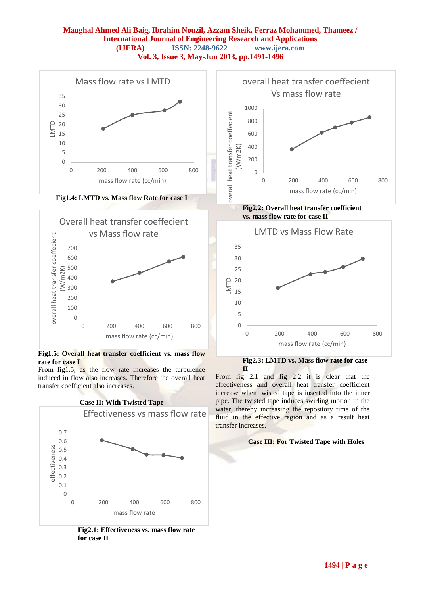



**Fig1.5: Overall heat transfer coefficient vs. mass flow rate for case I**

From fig1.5, as the flow rate increases the turbulence induced in flow also increases. Therefore the overall heat transfer coefficient also increases.



**Fig2.1: Effectiveness vs. mass flow rate for case II**



**Fig2.3: LMTD vs. Mass flow rate for case II**

From fig 2.1 and fig 2.2 it is clear that the effectiveness and overall heat transfer coefficient increase when twisted tape is inserted into the inner pipe. The twisted tape induces swirling motion in the water, thereby increasing the repository time of the fluid in the effective region and as a result heat transfer increases.

#### **Case III: For Twisted Tape with Holes**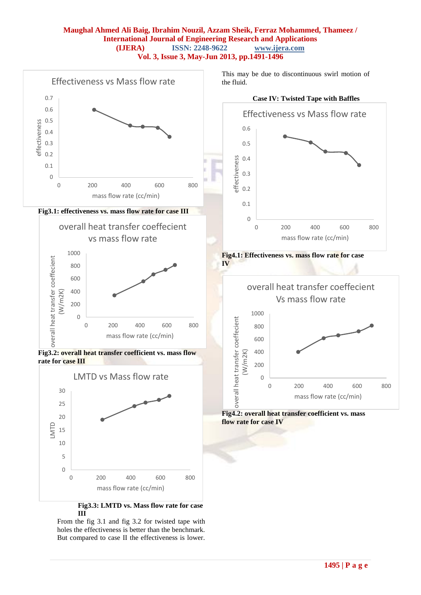

From the fig 3.1 and fig 3.2 for twisted tape with holes the effectiveness is better than the benchmark. But compared to case II the effectiveness is lower.